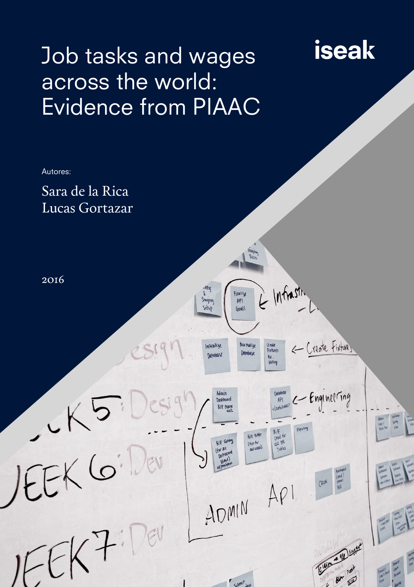# Job tasks and wages across the world: Evidence from PIAAC

# Autores: Sara de la Rica Lucas Gortazar  $\mathcal{R}$ 2016Infrastr stiling Finalize Staging  $AP1$ Setup Guals < Create Fixtures Initialize Nor malize Create<br>Fixtures Database Database  $x + y$ JEEK GID **Database** e Engineering **Admin** Dashboard  $AP1$ <(ontinuous) BIE Frame Exporting B/E<br>Crud for<br>all DB<br>Tables BIE Filter BIE SOAMY (for for (for All<br>Dashboard  $V(\frac{\text{euc}}{\text{holt}})$  $\frac{1}{2}$  (send)<br>email CRON  $API$ ADMIN IEEK70  $\heartsuit$  $\frac{1}{2}$ Parallel Read w Submit side

iseak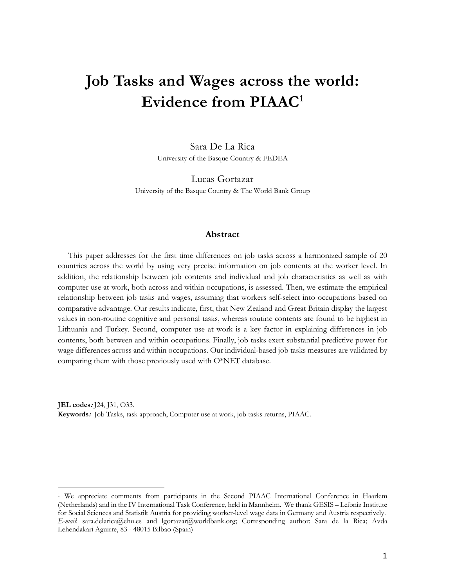# **Job Tasks and Wages across the world: Evidence from PIAAC1**

Sara De La Rica University of the Basque Country & FEDEA

Lucas Gortazar University of the Basque Country & The World Bank Group

#### **Abstract**

This paper addresses for the first time differences on job tasks across a harmonized sample of 20 countries across the world by using very precise information on job contents at the worker level. In addition, the relationship between job contents and individual and job characteristics as well as with computer use at work, both across and within occupations, is assessed. Then, we estimate the empirical relationship between job tasks and wages, assuming that workers self-select into occupations based on comparative advantage. Our results indicate, first, that New Zealand and Great Britain display the largest values in non-routine cognitive and personal tasks, whereas routine contents are found to be highest in Lithuania and Turkey. Second, computer use at work is a key factor in explaining differences in job contents, both between and within occupations. Finally, job tasks exert substantial predictive power for wage differences across and within occupations. Our individual-based job tasks measures are validated by comparing them with those previously used with O\*NET database.

**JEL codes:** J24, J31, O33. **Keywords:** Job Tasks, task approach, Computer use at work, job tasks returns, PIAAC.

 $\overline{a}$ 

<sup>1</sup> We appreciate comments from participants in the Second PIAAC International Conference in Haarlem (Netherlands) and in the IV International Task Conference, held in Mannheim. We thank GESIS – Leibniz Institute for Social Sciences and Statistik Austria for providing worker-level wage data in Germany and Austria respectively. *E-mail*: sara.delarica@ehu.es and lgortazar@worldbank.org; Corresponding author: Sara de la Rica; Avda Lehendakari Aguirre, 83 - 48015 Bilbao (Spain)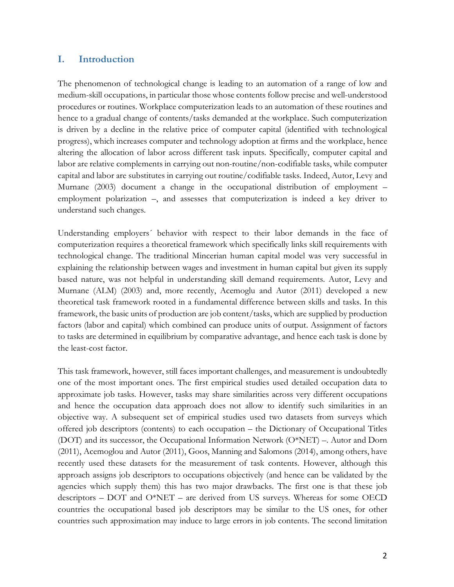# **I. Introduction**

The phenomenon of technological change is leading to an automation of a range of low and medium-skill occupations, in particular those whose contents follow precise and well-understood procedures or routines. Workplace computerization leads to an automation of these routines and hence to a gradual change of contents/tasks demanded at the workplace. Such computerization is driven by a decline in the relative price of computer capital (identified with technological progress), which increases computer and technology adoption at firms and the workplace, hence altering the allocation of labor across different task inputs. Specifically, computer capital and labor are relative complements in carrying out non-routine/non-codifiable tasks, while computer capital and labor are substitutes in carrying out routine/codifiable tasks. Indeed, Autor, Levy and Murnane (2003) document a change in the occupational distribution of employment – employment polarization –, and assesses that computerization is indeed a key driver to understand such changes.

Understanding employers´ behavior with respect to their labor demands in the face of computerization requires a theoretical framework which specifically links skill requirements with technological change. The traditional Mincerian human capital model was very successful in explaining the relationship between wages and investment in human capital but given its supply based nature, was not helpful in understanding skill demand requirements. Autor, Levy and Murnane (ALM) (2003) and, more recently, Acemoglu and Autor (2011) developed a new theoretical task framework rooted in a fundamental difference between skills and tasks. In this framework, the basic units of production are job content/tasks, which are supplied by production factors (labor and capital) which combined can produce units of output. Assignment of factors to tasks are determined in equilibrium by comparative advantage, and hence each task is done by the least-cost factor.

This task framework, however, still faces important challenges, and measurement is undoubtedly one of the most important ones. The first empirical studies used detailed occupation data to approximate job tasks. However, tasks may share similarities across very different occupations and hence the occupation data approach does not allow to identify such similarities in an objective way. A subsequent set of empirical studies used two datasets from surveys which offered job descriptors (contents) to each occupation – the Dictionary of Occupational Titles (DOT) and its successor, the Occupational Information Network (O\*NET) –. Autor and Dorn (2011), Acemoglou and Autor (2011), Goos, Manning and Salomons (2014), among others, have recently used these datasets for the measurement of task contents. However, although this approach assigns job descriptors to occupations objectively (and hence can be validated by the agencies which supply them) this has two major drawbacks. The first one is that these job descriptors – DOT and O\*NET – are derived from US surveys. Whereas for some OECD countries the occupational based job descriptors may be similar to the US ones, for other countries such approximation may induce to large errors in job contents. The second limitation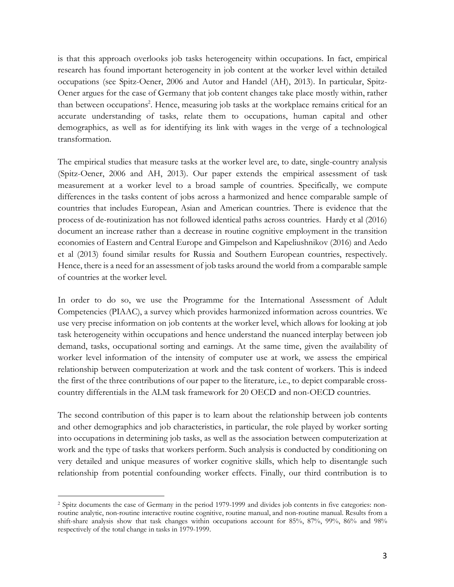is that this approach overlooks job tasks heterogeneity within occupations. In fact, empirical research has found important heterogeneity in job content at the worker level within detailed occupations (see Spitz-Oener, 2006 and Autor and Handel (AH), 2013). In particular, Spitz-Oener argues for the case of Germany that job content changes take place mostly within, rather than between occupations<sup>2</sup>. Hence, measuring job tasks at the workplace remains critical for an accurate understanding of tasks, relate them to occupations, human capital and other demographics, as well as for identifying its link with wages in the verge of a technological transformation.

The empirical studies that measure tasks at the worker level are, to date, single-country analysis (Spitz-Oener, 2006 and AH, 2013). Our paper extends the empirical assessment of task measurement at a worker level to a broad sample of countries. Specifically, we compute differences in the tasks content of jobs across a harmonized and hence comparable sample of countries that includes European, Asian and American countries. There is evidence that the process of de-routinization has not followed identical paths across countries. Hardy et al (2016) document an increase rather than a decrease in routine cognitive employment in the transition economies of Eastern and Central Europe and Gimpelson and Kapeliushnikov (2016) and Aedo et al (2013) found similar results for Russia and Southern European countries, respectively. Hence, there is a need for an assessment of job tasks around the world from a comparable sample of countries at the worker level.

In order to do so, we use the Programme for the International Assessment of Adult Competencies (PIAAC), a survey which provides harmonized information across countries. We use very precise information on job contents at the worker level, which allows for looking at job task heterogeneity within occupations and hence understand the nuanced interplay between job demand, tasks, occupational sorting and earnings. At the same time, given the availability of worker level information of the intensity of computer use at work, we assess the empirical relationship between computerization at work and the task content of workers. This is indeed the first of the three contributions of our paper to the literature, i.e., to depict comparable crosscountry differentials in the ALM task framework for 20 OECD and non-OECD countries.

The second contribution of this paper is to learn about the relationship between job contents and other demographics and job characteristics, in particular, the role played by worker sorting into occupations in determining job tasks, as well as the association between computerization at work and the type of tasks that workers perform. Such analysis is conducted by conditioning on very detailed and unique measures of worker cognitive skills, which help to disentangle such relationship from potential confounding worker effects. Finally, our third contribution is to

 $\overline{a}$ 

<sup>2</sup> Spitz documents the case of Germany in the period 1979-1999 and divides job contents in five categories: nonroutine analytic, non-routine interactive routine cognitive, routine manual, and non-routine manual. Results from a shift-share analysis show that task changes within occupations account for 85%, 87%, 99%, 86% and 98% respectively of the total change in tasks in 1979-1999.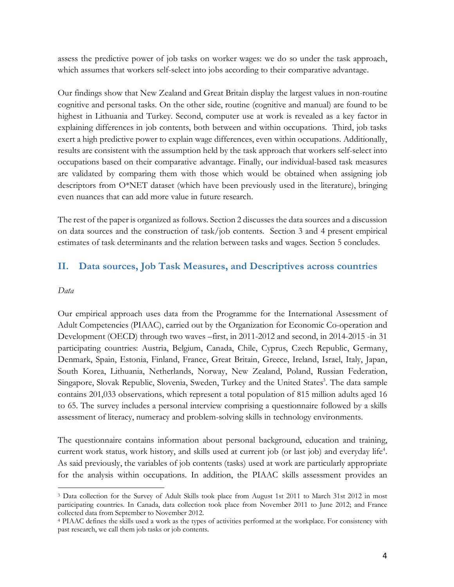assess the predictive power of job tasks on worker wages: we do so under the task approach, which assumes that workers self-select into jobs according to their comparative advantage.

Our findings show that New Zealand and Great Britain display the largest values in non-routine cognitive and personal tasks. On the other side, routine (cognitive and manual) are found to be highest in Lithuania and Turkey. Second, computer use at work is revealed as a key factor in explaining differences in job contents, both between and within occupations. Third, job tasks exert a high predictive power to explain wage differences, even within occupations. Additionally, results are consistent with the assumption held by the task approach that workers self-select into occupations based on their comparative advantage. Finally, our individual-based task measures are validated by comparing them with those which would be obtained when assigning job descriptors from O\*NET dataset (which have been previously used in the literature), bringing even nuances that can add more value in future research.

The rest of the paper is organized as follows. Section 2 discusses the data sources and a discussion on data sources and the construction of task/job contents. Section 3 and 4 present empirical estimates of task determinants and the relation between tasks and wages. Section 5 concludes.

# **II. Data sources, Job Task Measures, and Descriptives across countries**

#### *Data*

 $\overline{a}$ 

Our empirical approach uses data from the Programme for the International Assessment of Adult Competencies (PIAAC), carried out by the Organization for Economic Co-operation and Development (OECD) through two waves –first, in 2011-2012 and second, in 2014-2015 -in 31 participating countries: Austria, Belgium, Canada, Chile, Cyprus, Czech Republic, Germany, Denmark, Spain, Estonia, Finland, France, Great Britain, Greece, Ireland, Israel, Italy, Japan, South Korea, Lithuania, Netherlands, Norway, New Zealand, Poland, Russian Federation, Singapore, Slovak Republic, Slovenia, Sweden, Turkey and the United States<sup>3</sup>. The data sample contains 201,033 observations, which represent a total population of 815 million adults aged 16 to 65. The survey includes a personal interview comprising a questionnaire followed by a skills assessment of literacy, numeracy and problem-solving skills in technology environments.

The questionnaire contains information about personal background, education and training, current work status, work history, and skills used at current job (or last job) and everyday life<sup>4</sup>. As said previously, the variables of job contents (tasks) used at work are particularly appropriate for the analysis within occupations. In addition, the PIAAC skills assessment provides an

<sup>3</sup> Data collection for the Survey of Adult Skills took place from August 1st 2011 to March 31st 2012 in most participating countries. In Canada, data collection took place from November 2011 to June 2012; and France collected data from September to November 2012.

<sup>4</sup> PIAAC defines the skills used a work as the types of activities performed at the workplace. For consistency with past research, we call them job tasks or job contents.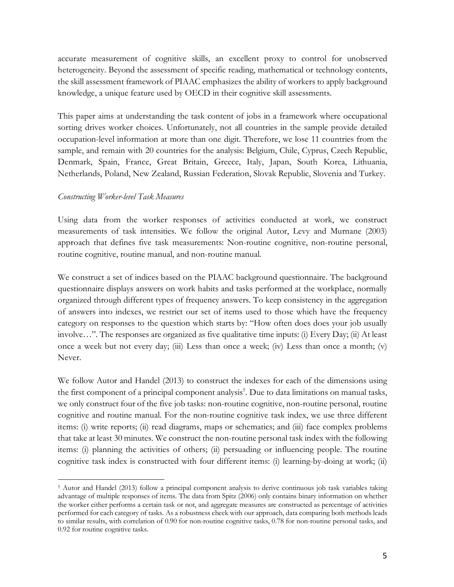accurate measurement of cognitive skills, an excellent proxy to control for unobserved heterogeneity. Beyond the assessment of specific reading, mathematical or technology contents, the skill assessment framework of PIAAC emphasizes the ability of workers to apply background knowledge, a unique feature used by OECD in their cognitive skill assessments.

This paper aims at understanding the task content of jobs in a framework where occupational sorting drives worker choices. Unfortunately, not all countries in the sample provide detailed occupation-level information at more than one digit. Therefore, we lose 11 countries from the sample, and remain with 20 countries for the analysis: Belgium, Chile, Cyprus, Czech Republic, Denmark, Spain, France, Great Britain, Greece, Italy, Japan, South Korea, Lithuania, Netherlands, Poland, New Zealand, Russian Federation, Slovak Republic, Slovenia and Turkey.

#### *Constructing Worker-level Task Measures*

 $\overline{a}$ 

Using data from the worker responses of activities conducted at work, we construct measurements of task intensities. We follow the original Autor, Levy and Murnane (2003) approach that defines five task measurements: Non-routine cognitive, non-routine personal, routine cognitive, routine manual, and non-routine manual.

We construct a set of indices based on the PIAAC background questionnaire. The background questionnaire displays answers on work habits and tasks performed at the workplace, normally organized through different types of frequency answers. To keep consistency in the aggregation of answers into indexes, we restrict our set of items used to those which have the frequency category on responses to the question which starts by: "How often does does your job usually involve…". The responses are organized as five qualitative time inputs: (i) Every Day; (ii) At least once a week but not every day; (iii) Less than once a week; (iv) Less than once a month; (v) Never.

We follow Autor and Handel (2013) to construct the indexes for each of the dimensions using the first component of a principal component analysis<sup>5</sup>. Due to data limitations on manual tasks, we only construct four of the five job tasks: non-routine cognitive, non-routine personal, routine cognitive and routine manual. For the non-routine cognitive task index, we use three different items: (i) write reports; (ii) read diagrams, maps or schematics; and (iii) face complex problems that take at least 30 minutes. We construct the non-routine personal task index with the following items: (i) planning the activities of others; (ii) persuading or influencing people. The routine cognitive task index is constructed with four different items: (i) learning-by-doing at work; (ii)

<sup>5</sup> Autor and Handel (2013) follow a principal component analysis to derive continuous job task variables taking advantage of multiple responses of items. The data from Spitz (2006) only contains binary information on whether the worker either performs a certain task or not, and aggregate measures are constructed as percentage of activities performed for each category of tasks. As a robustness check with our approach, data comparing both methods leads to similar results, with correlation of 0.90 for non-routine cognitive tasks, 0.78 for non-routine personal tasks, and 0.92 for routine cognitive tasks.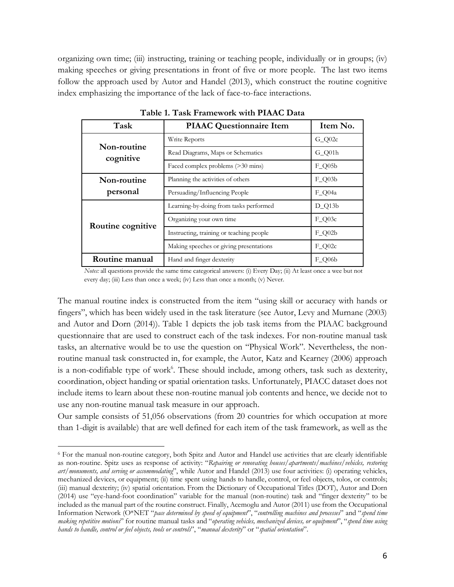organizing own time; (iii) instructing, training or teaching people, individually or in groups; (iv) making speeches or giving presentations in front of five or more people. The last two items follow the approach used by Autor and Handel (2013), which construct the routine cognitive index emphasizing the importance of the lack of face-to-face interactions.

| Task                     | <b>PIAAC Questionnaire Item</b>          | Item No.     |
|--------------------------|------------------------------------------|--------------|
|                          | Write Reports                            | $G_Q02c$     |
| Non-routine<br>cognitive | Read Diagrams, Maps or Schematics        | $G_Q$ 01 $h$ |
|                          | Faced complex problems (>30 mins)        | $F_{Q05b}$   |
| Non-routine              | Planning the activities of others        | $F_{Q03b}$   |
| personal                 | Persuading/Influencing People            | $F_{Q04a}$   |
|                          | Learning-by-doing from tasks performed   | $D_Q13b$     |
| Routine cognitive        | Organizing your own time                 | $F_Q03c$     |
|                          | Instructing, training or teaching people | $F_Q02b$     |
|                          | Making speeches or giving presentations  | $F_Q02c$     |
| Routine manual           | Hand and finger dexterity                | $F$ O06b     |

**Table 1. Task Framework with PIAAC Data**

*Notes:* all questions provide the same time categorical answers: (i) Every Day; (ii) At least once a wee but not every day; (iii) Less than once a week; (iv) Less than once a month; (v) Never.

The manual routine index is constructed from the item "using skill or accuracy with hands or fingers", which has been widely used in the task literature (see Autor, Levy and Murnane (2003) and Autor and Dorn (2014)). Table 1 depicts the job task items from the PIAAC background questionnaire that are used to construct each of the task indexes. For non-routine manual task tasks, an alternative would be to use the question on "Physical Work". Nevertheless, the nonroutine manual task constructed in, for example, the Autor, Katz and Kearney (2006) approach is a non-codifiable type of work<sup>6</sup>. These should include, among others, task such as dexterity, coordination, object handing or spatial orientation tasks. Unfortunately, PIACC dataset does not include items to learn about these non-routine manual job contents and hence, we decide not to use any non-routine manual task measure in our approach.

Our sample consists of 51,056 observations (from 20 countries for which occupation at more than 1-digit is available) that are well defined for each item of the task framework, as well as the

 $\overline{a}$ 

<sup>6</sup> For the manual non-routine category, both Spitz and Autor and Handel use activities that are clearly identifiable as non-routine. Spitz uses as response of activity: "*Repairing or renovating houses/apartments/machines/vehicles, restoring art/monuments, and serving or accommodating*", while Autor and Handel (2013) use four activities: (i) operating vehicles, mechanized devices, or equipment; (ii) time spent using hands to handle, control, or feel objects, tolos, or controls; (iii) manual dexterity; (iv) spatial orientation. From the Dictionary of Occupational Titles (DOT), Autor and Dorn (2014) use "eye-hand-foot coordination" variable for the manual (non-routine) task and "finger dexterity" to be included as the manual part of the routine construct. Finally, Acemoglu and Autor (2011) use from the Occupational Information Network (O\*NET "*pace determined by speed of equipment*", "*controlling machines and processes*" and "*spend time making repetitive motions*" for routine manual tasks and "*operating vehicles, mechanized devices, or equipment*", "*spend time using hands to handle, control or feel objects, tools or controls*", "*manual dexterity*" or "*spatial orientation*".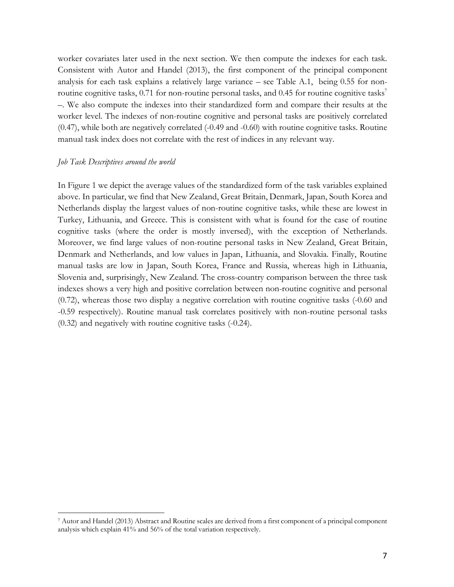worker covariates later used in the next section. We then compute the indexes for each task. Consistent with Autor and Handel (2013), the first component of the principal component analysis for each task explains a relatively large variance – see Table A.1, being 0.55 for nonroutine cognitive tasks, 0.71 for non-routine personal tasks, and 0.45 for routine cognitive tasks<sup>7</sup> –. We also compute the indexes into their standardized form and compare their results at the worker level. The indexes of non-routine cognitive and personal tasks are positively correlated (0.47), while both are negatively correlated (-0.49 and -0.60) with routine cognitive tasks. Routine manual task index does not correlate with the rest of indices in any relevant way.

#### *Job Task Descriptives around the world*

 $\overline{a}$ 

In Figure 1 we depict the average values of the standardized form of the task variables explained above. In particular, we find that New Zealand, Great Britain, Denmark, Japan, South Korea and Netherlands display the largest values of non-routine cognitive tasks, while these are lowest in Turkey, Lithuania, and Greece. This is consistent with what is found for the case of routine cognitive tasks (where the order is mostly inversed), with the exception of Netherlands. Moreover, we find large values of non-routine personal tasks in New Zealand, Great Britain, Denmark and Netherlands, and low values in Japan, Lithuania, and Slovakia. Finally, Routine manual tasks are low in Japan, South Korea, France and Russia, whereas high in Lithuania, Slovenia and, surprisingly, New Zealand. The cross-country comparison between the three task indexes shows a very high and positive correlation between non-routine cognitive and personal (0.72), whereas those two display a negative correlation with routine cognitive tasks (-0.60 and -0.59 respectively). Routine manual task correlates positively with non-routine personal tasks (0.32) and negatively with routine cognitive tasks (-0.24).

<sup>7</sup> Autor and Handel (2013) Abstract and Routine scales are derived from a first component of a principal component analysis which explain 41% and 56% of the total variation respectively.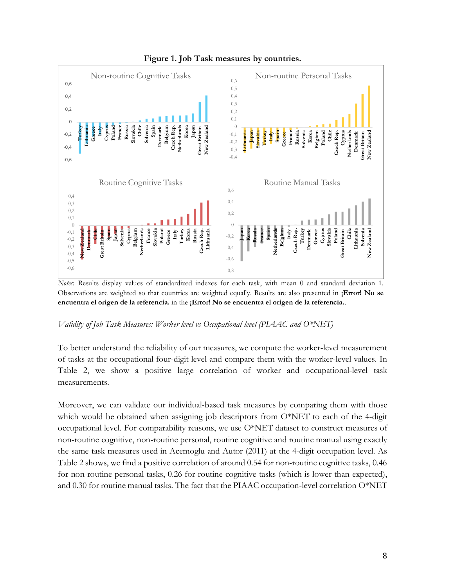

# **Figure 1. Job Task measures by countries.**

*Notes*: Results display values of standardized indexes for each task, with mean 0 and standard deviation 1. Observations are weighted so that countries are weighted equally. Results are also presented in **¡Error! No se encuentra el origen de la referencia.** in the **¡Error! No se encuentra el origen de la referencia.**.

# *Validity of Job Task Measures: Worker level vs Occupational level (PIAAC and O\*NET)*

To better understand the reliability of our measures, we compute the worker-level measurement of tasks at the occupational four-digit level and compare them with the worker-level values. In Table 2, we show a positive large correlation of worker and occupational-level task measurements.

Moreover, we can validate our individual-based task measures by comparing them with those which would be obtained when assigning job descriptors from O\*NET to each of the 4-digit occupational level. For comparability reasons, we use O\*NET dataset to construct measures of non-routine cognitive, non-routine personal, routine cognitive and routine manual using exactly the same task measures used in Acemoglu and Autor (2011) at the 4-digit occupation level. As Table 2 shows, we find a positive correlation of around 0.54 for non-routine cognitive tasks, 0.46 for non-routine personal tasks, 0.26 for routine cognitive tasks (which is lower than expected), and 0.30 for routine manual tasks. The fact that the PIAAC occupation-level correlation O\*NET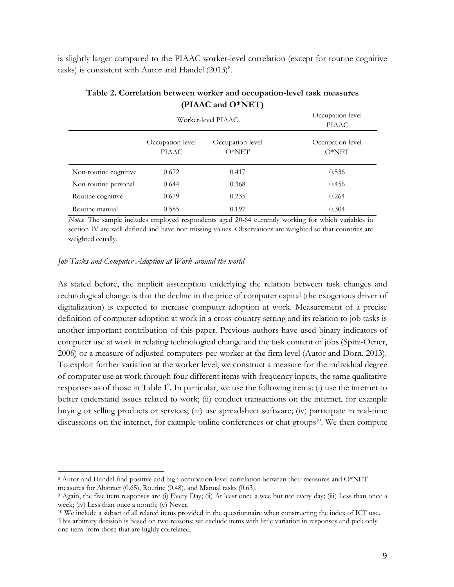is slightly larger compared to the PIAAC worker-level correlation (except for routine cognitive tasks) is consistent with Autor and Handel  $(2013)^8$ .

|                       |                                  | Worker-level PIAAC          | Occupation-level<br>PIAAC   |
|-----------------------|----------------------------------|-----------------------------|-----------------------------|
|                       | Occupation-level<br><b>PIAAC</b> | Occupation-level<br>$O*NET$ | Occupation-level<br>$O*NET$ |
| Non-routine cognitive | 0.672                            | 0.417                       | 0.536                       |
| Non-routine personal  | 0.644                            | 0.368                       | 0.456                       |
| Routine cognitive     | 0.679                            | 0.235                       | 0.264                       |
| Routine manual        | 0.585                            | 0.197                       | 0.304                       |

**Table 2. Correlation between worker and occupation-level task measures (PIAAC and O\*NET)**

*Notes*: The sample includes employed respondents aged 20-64 currently working for which variables in section IV are well defined and have non missing values. Observations are weighted so that countries are weighted equally.

#### *Job Tasks and Computer Adoption at Work around the world*

 $\overline{a}$ 

As stated before, the implicit assumption underlying the relation between task changes and technological change is that the decline in the price of computer capital (the exogenous driver of digitalization) is expected to increase computer adoption at work. Measurement of a precise definition of computer adoption at work in a cross-country setting and its relation to job tasks is another important contribution of this paper. Previous authors have used binary indicators of computer use at work in relating technological change and the task content of jobs (Spitz-Oener, 2006) or a measure of adjusted computers-per-worker at the firm level (Autor and Dorn, 2013). To exploit further variation at the worker level, we construct a measure for the individual degree of computer use at work through four different items with frequency inputs, the same qualitative responses as of those in Table 1<sup>9</sup>. In particular, we use the following items: (i) use the internet to better understand issues related to work; (ii) conduct transactions on the internet, for example buying or selling products or services; (iii) use spreadsheet software; (iv) participate in real-time discussions on the internet, for example online conferences or chat groups<sup>10</sup>. We then compute

<sup>8</sup> Autor and Handel find positive and high occupation-level correlation between their measures and O\*NET measures for Abstract (0.65), Routine (0.48), and Manual tasks (0.63).

<sup>9</sup> Again, the five ítem responses are (i) Every Day; (ii) At least once a wee but not every day; (iii) Less than once a week; (iv) Less than once a month; (v) Never.

<sup>10</sup> We include a subset of all related items provided in the questionnaire when constructing the index of ICT use. This arbitrary decision is based on two reasons: we exclude items with little variation in responses and pick only one item from those that are highly correlated.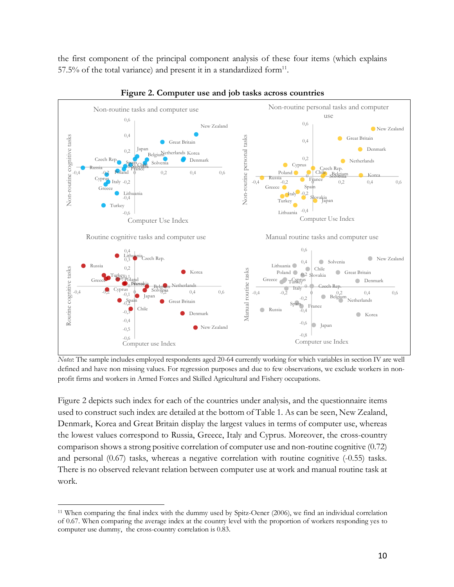the first component of the principal component analysis of these four items (which explains 57.5% of the total variance) and present it in a standardized form $11$ .



**Figure 2. Computer use and job tasks across countries**

*Notes*: The sample includes employed respondents aged 20-64 currently working for which variables in section IV are well defined and have non missing values. For regression purposes and due to few observations, we exclude workers in nonprofit firms and workers in Armed Forces and Skilled Agricultural and Fishery occupations.

Figure 2 depicts such index for each of the countries under analysis, and the questionnaire items used to construct such index are detailed at the bottom of Table 1. As can be seen, New Zealand, Denmark, Korea and Great Britain display the largest values in terms of computer use, whereas the lowest values correspond to Russia, Greece, Italy and Cyprus. Moreover, the cross-country comparison shows a strong positive correlation of computer use and non-routine cognitive (0.72) and personal (0.67) tasks, whereas a negative correlation with routine cognitive (-0.55) tasks. There is no observed relevant relation between computer use at work and manual routine task at work.

 $\overline{a}$ 

<sup>11</sup> When comparing the final index with the dummy used by Spitz-Oener (2006), we find an individual correlation of 0.67. When comparing the average index at the country level with the proportion of workers responding yes to computer use dummy, the cross-country correlation is 0.83.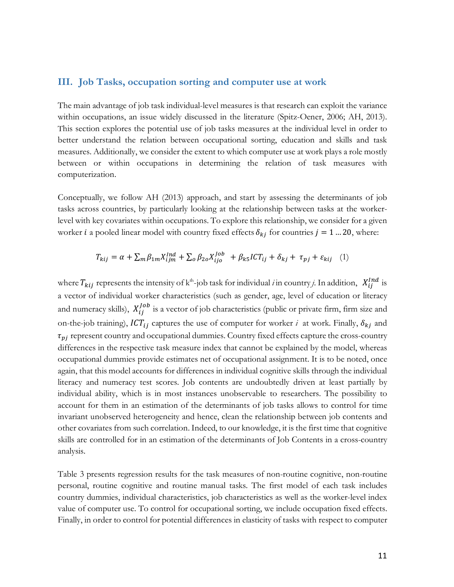#### **III. Job Tasks, occupation sorting and computer use at work**

The main advantage of job task individual-level measures is that research can exploit the variance within occupations, an issue widely discussed in the literature (Spitz-Oener, 2006; AH, 2013). This section explores the potential use of job tasks measures at the individual level in order to better understand the relation between occupational sorting, education and skills and task measures. Additionally, we consider the extent to which computer use at work plays a role mostly between or within occupations in determining the relation of task measures with computerization.

Conceptually, we follow AH (2013) approach, and start by assessing the determinants of job tasks across countries, by particularly looking at the relationship between tasks at the workerlevel with key covariates within occupations. To explore this relationship, we consider for a given worker *i* a pooled linear model with country fixed effects  $\delta_{kj}$  for countries  $j = 1$  ... 20, where:

$$
T_{kij} = \alpha + \sum_{m} \beta_{1m} X_{ijm}^{Ind} + \sum_{o} \beta_{2o} X_{ijo}^{Job} + \beta_{k5} ICT_{ij} + \delta_{kj} + \tau_{pj} + \varepsilon_{kij} \quad (1)
$$

where  $T_{kij}$  represents the intensity of k<sup>th</sup>-job task for individual *i* in country *j*. In addition,  $X_{ij}^{Ind}$  is a vector of individual worker characteristics (such as gender, age, level of education or literacy and numeracy skills),  $X_{ij}^{Job}$  is a vector of job characteristics (public or private firm, firm size and on-the-job training),  $ICT_{ij}$  captures the use of computer for worker *i* at work. Finally,  $\delta_{kj}$  and  $\tau_{pi}$  represent country and occupational dummies. Country fixed effects capture the cross-country differences in the respective task measure index that cannot be explained by the model, whereas occupational dummies provide estimates net of occupational assignment. It is to be noted, once again, that this model accounts for differences in individual cognitive skills through the individual literacy and numeracy test scores. Job contents are undoubtedly driven at least partially by individual ability, which is in most instances unobservable to researchers. The possibility to account for them in an estimation of the determinants of job tasks allows to control for time invariant unobserved heterogeneity and hence, clean the relationship between job contents and other covariates from such correlation. Indeed, to our knowledge, it is the first time that cognitive skills are controlled for in an estimation of the determinants of Job Contents in a cross-country analysis.

Table 3 presents regression results for the task measures of non-routine cognitive, non-routine personal, routine cognitive and routine manual tasks. The first model of each task includes country dummies, individual characteristics, job characteristics as well as the worker-level index value of computer use. To control for occupational sorting, we include occupation fixed effects. Finally, in order to control for potential differences in elasticity of tasks with respect to computer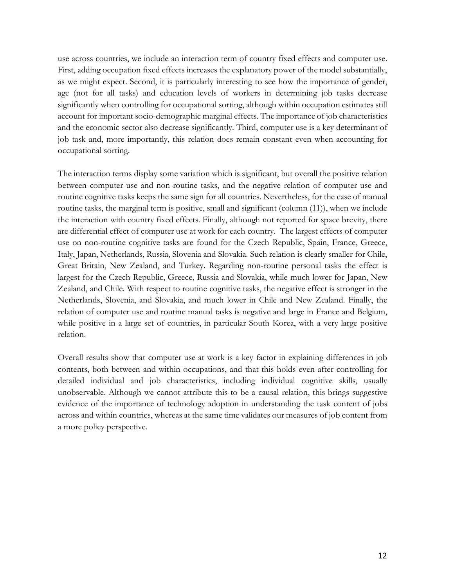use across countries, we include an interaction term of country fixed effects and computer use. First, adding occupation fixed effects increases the explanatory power of the model substantially, as we might expect. Second, it is particularly interesting to see how the importance of gender, age (not for all tasks) and education levels of workers in determining job tasks decrease significantly when controlling for occupational sorting, although within occupation estimates still account for important socio-demographic marginal effects. The importance of job characteristics and the economic sector also decrease significantly. Third, computer use is a key determinant of job task and, more importantly, this relation does remain constant even when accounting for occupational sorting.

The interaction terms display some variation which is significant, but overall the positive relation between computer use and non-routine tasks, and the negative relation of computer use and routine cognitive tasks keeps the same sign for all countries. Nevertheless, for the case of manual routine tasks, the marginal term is positive, small and significant (column (11)), when we include the interaction with country fixed effects. Finally, although not reported for space brevity, there are differential effect of computer use at work for each country. The largest effects of computer use on non-routine cognitive tasks are found for the Czech Republic, Spain, France, Greece, Italy, Japan, Netherlands, Russia, Slovenia and Slovakia. Such relation is clearly smaller for Chile, Great Britain, New Zealand, and Turkey. Regarding non-routine personal tasks the effect is largest for the Czech Republic, Greece, Russia and Slovakia, while much lower for Japan, New Zealand, and Chile. With respect to routine cognitive tasks, the negative effect is stronger in the Netherlands, Slovenia, and Slovakia, and much lower in Chile and New Zealand. Finally, the relation of computer use and routine manual tasks is negative and large in France and Belgium, while positive in a large set of countries, in particular South Korea, with a very large positive relation.

Overall results show that computer use at work is a key factor in explaining differences in job contents, both between and within occupations, and that this holds even after controlling for detailed individual and job characteristics, including individual cognitive skills, usually unobservable. Although we cannot attribute this to be a causal relation, this brings suggestive evidence of the importance of technology adoption in understanding the task content of jobs across and within countries, whereas at the same time validates our measures of job content from a more policy perspective.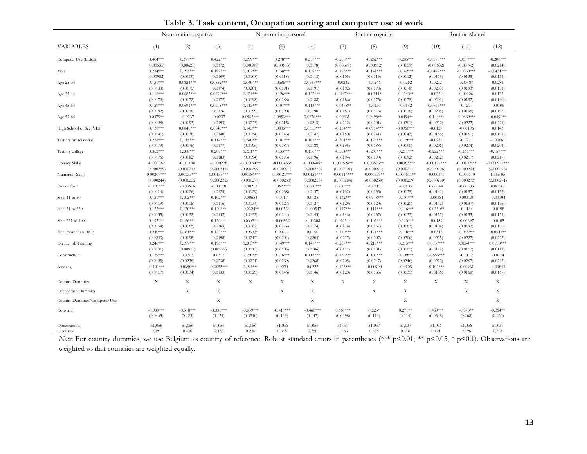|  | Table 3. Task content, Occupation sorting and computer use at work |  |  |
|--|--------------------------------------------------------------------|--|--|
|--|--------------------------------------------------------------------|--|--|

|                              |              | Non-routine cognitive |              |               | Non-routine personal |              | Routine cognitive |               |               | Routine Manual |               |                |
|------------------------------|--------------|-----------------------|--------------|---------------|----------------------|--------------|-------------------|---------------|---------------|----------------|---------------|----------------|
| <b>VARIABLES</b>             | (1)          | (2)                   | (3)          | (4)           | (5)                  | (6)          | (7)               | (8)           | (9)           | (10)           | (11)          | (12)           |
| Computer Use (Index)         | $0.404***$   | $0.377***$            | $0.422***$   | $0.299***$    | $0.278***$           | $0.357***$   | $-0.268***$       | $-0.262***$   | $-0.285***$   | $-0.0578***$   | $0.0517***$   | $-0.208***$    |
|                              | (0.00535)    | (0.00628)             | (0.0172)     | (0.00589)     | (0.00673)            | (0.0178)     | (0.00579)         | (0.00672)     | (0.0159)      | (0.00632)      | (0.00742)     | (0.0214)       |
| Male                         | $0.284***$   | $0.195***$            | $0.192***$   | $0.102***$    | $0.138***$           | $0.139***$   | $-0.123***$       | $-0.141***$   | $-0.142***$   | $-0.0472***$   | $-0.0360***$  | $-0.0431***$   |
|                              | (0.00982)    | (0.0109)              | (0.0109)     | (0.0108)      | (0.0118)             | (0.0118)     | (0.0105)          | (0.0113)      | (0.0112)      | (0.0119)       | (0.0135)      | (0.0134)       |
| Age 25-34                    | $0.121***$   | $0.0824***$           | $0.0852***$  | $0.0404**$    | $0.0586***$          | $0.0635***$  | $-0.0242$         | $-0.0246$     | $-0.0262$     | 0.0272         | $0.0348*$     | 0.0283         |
|                              | (0.0183)     | (0.0175)              | (0.0174)     | (0.0201)      | (0.0191)             | (0.0191)     | (0.0192)          | (0.0178)      | (0.0178)      | (0.0203)       | (0.0193)      | (0.0191)       |
| Age 35-44                    | $0.118***$   | $0.0683***$           | $0.0696***$  | $0.124***$    | $0.126***$           | $0.132***$   | $-0.0487***$      | $-0.0341*$    | $-0.0343**$   | $-0.0250$      | 0.00926       | 0.0133         |
|                              | (0.0179)     | (0.0172)              | (0.0172)     | (0.0198)      | (0.0188)             | (0.0188)     | (0.0186)          | (0.0175)      | (0.0175)      | (0.0201)       | (0.0192)      | (0.0190)       |
| Age 45-54                    | $0.129***$   | $0.0691***$           | $0.0698***$  | $0.115***$    | $0.107***$           | $0.113***$   | $-0.0478**$       | $-0.0130$     | $-0.0142$     | $-0.0763***$   | $-0.0277$     | $-0.0106$      |
|                              | (0.0182)     | (0.0176)              | (0.0176)     | (0.0199)      | (0.0190)             | (0.0190)     | (0.0187)          | (0.0176)      | (0.0176)      | (0.0205)       | (0.0196)      | (0.0195)       |
| Age 55-64                    | $0.0479**$   | $-0.0237$             | $-0.0237$    | $0.0965***$   | $0.0853***$          | $0.0876***$  | 0.00865           | $0.0498**$    | $0.0494**$    | $-0.146***$    | $-0.0689***$  | $-0.0490**$    |
|                              | (0.0198)     | (0.0193)              | (0.0193)     | (0.0223)      | (0.0215)             | (0.0215)     | (0.0212)          | (0.0201)      | (0.0201)      | (0.0232)       | (0.0222)      | (0.0221)       |
| High School or Sec. VET      | $0.138***$   | $0.0846***$           | $0.0843***$  | $0.145***$    | $0.0805***$          | $0.0853***$  | $-0.154***$       | $-0.0914***$  | $-0.0966***$  | $-0.0127$      | $-0.00196$    | 0.0143         |
|                              | (0.0141)     | (0.0138)              | (0.0140)     | (0.0154)      | (0.0146)             | (0.0147)     | (0.0150)          | (0.0141)      | (0.0143)      | (0.0166)       | (0.0161)      | (0.0161)       |
| Tertiary professional        | $0.238***$   | $0.115***$            | $0.114***$   | $0.240***$    | $0.101***$           | $0.107***$   | $-0.301***$       | $-0.123***$   | $-0.129***$   | $-0.0235$      | $-0.0277$     | $-0.00661$     |
|                              | (0.0179)     | (0.0176)              | (0.0177)     | (0.0196)      | (0.0187)             | (0.0188)     | (0.0195)          | (0.0188)      | (0.0190)      | (0.0206)       | (0.0204)      | (0.0204)       |
| Tertiary college             | $0.362***$   | $0.208***$            | $0.207***$   | $0.331***$    | $0.133***$           | $0.136***$   | $-0.554***$       | $-0.209***$   | $-0.211***$   | $-0.222***$    | $-0.161***$   | $-0.157***$    |
|                              | (0.0176)     | (0.0182)              | (0.0183)     | (0.0194)      | (0.0195)             | (0.0196)     | (0.0194)          | (0.0190)      | (0.0192)      | (0.0212)       | (0.0217)      | (0.0217)       |
| Literacy Skills              | $-0.000382$  | $-0.000181$           | $-0.000228$  | $-0.000760**$ | $-0.000466*$         | $-0.000485*$ | $0.000624**$      | $0.000576**$  | $0.000633**$  | $-0.00127***$  | $-0.00102***$ | $-0.000977***$ |
|                              | (0.000259)   | (0.000245)            | (0.000245)   | (0.000299)    | (0.000271)           | (0.000272)   | (0.000301)        | (0.000271)    | (0.000271)    | (0.000306)     | (0.000294)    | (0.000293)     |
| Numeracy Skills              | $0.00207***$ | $0.00133***$          | $0.00136***$ | $0.00186***$  | $0.00121***$         | $0.00123***$ | $-0.00114***$     | $-0.000559**$ | $-0.000611**$ | $-0.000347$    | $-0.000170$   | 1.35e-05       |
|                              | (0.000244)   | (0.000232)            | (0.000232)   | (0.000277)    | (0.000253)           | (0.000253)   | (0.000284)        | (0.000259)    | (0.000259)    | (0.000280)     | (0.000273)    | (0.000271)     |
| Private firm                 | $-0.107***$  | $-0.00616$            | $-0.00718$   | 0.00211       | $0.0622***$          | $0.0600***$  | $0.207***$        | $-0.0119$     | $-0.0105$     | 0.00744        | $-0.00583$    | 0.00147        |
|                              | (0.0114)     | (0.0126)              | (0.0125)     | (0.0129)      | (0.0138)             | (0.0137)     | (0.0132)          | (0.0135)      | (0.0135)      | (0.0141)       | (0.0157)      | (0.0155)       |
| Size: 11 to 50               | $0.121***$   | $0.102***$            | $0.102***$   | 0.00654       | 0.0117               | 0.0125       | $-0.132***$       | $-0.0978***$  | $-0.101***$   | $-0.00381$     | 0.000130      | $-0.00194$     |
|                              | (0.0119)     | (0.0116)              | (0.0116)     | (0.0134)      | (0.0127)             | (0.0127)     | (0.0129)          | (0.0120)      | (0.0120)      | (0.0142)       | (0.0137)      | (0.0135)       |
| Size: 51 to 250              | $0.152***$   | $0.130***$            | $0.130***$   | $-0.0324**$   | $-0.00364$           | $-0.000547$  | $-0.117***$       | $-0.111***$   | $-0.116***$   | $-0.0350**$    | $-0.0164$     | $-0.0198$      |
|                              | (0.0135)     | (0.0132)              | (0.0132)     | (0.0152)      | (0.0144)             | (0.0143)     | (0.0146)          | (0.0137)      | (0.0137)      | (0.0157)       | (0.0153)      | (0.0151)       |
| Size: 251 to 1000            | $0.193***$   | $0.156***$            | $0.156***$   | $-0.0665***$  | $-0.00832$           | $-0.00308$   | $-0.0465***$      | $-0.105***$   | $-0.113***$   | $-0.0189$      | $-0.00697$    | $-0.0105$      |
|                              | (0.0164)     | (0.0165)              | (0.0165)     | (0.0182)      | (0.0174)             | (0.0174)     | (0.0174)          | (0.0167)      | (0.0167)      | (0.0194)       | (0.0192)      | (0.0190)       |
| Size: more than 1000         | $0.240***$   | $0.181***$            | $0.183***$   | $-0.0393*$    | 0.00771              | 0.0150       | $-0.110***$       | $-0.171***$   | $-0.178***$   | $-0.0345$      | $-0.0489**$   | $-0.0544**$    |
|                              | (0.0203)     | (0.0198)              | (0.0198)     | (0.0212)      | (0.0204)             | (0.0204)     | (0.0217)          | (0.0207)      | (0.0206)      | (0.0235)       | (0.0227)      | (0.0225)       |
| On the job Training          | $0.246***$   | $0.197***$            | $0.196***$   | $0.203***$    | $0.149***$           | $0.147***$   | $-0.267***$       | $-0.215***$   | $-0.213***$   | $0.0737***$    | $0.0634***$   | $0.0590***$    |
|                              | (0.0101)     | (0.00978)             | (0.00977)    | (0.0113)      | (0.0105)             | (0.0106)     | (0.0111)          | (0.0101)      | (0.0101)      | (0.0115)       | (0.0112)      | (0.0111)       |
| Construction                 | $0.139***$   | 0.0303                | 0.0312       | $0.150***$    | $0.116***$           | $0.118***$   | $-0.156***$       | $-0.107***$   | $-0.109***$   | $0.0565***$    | $-0.0179$     | $-0.0174$      |
|                              | (0.0195)     | (0.0238)              | (0.0238)     | (0.0221)      | (0.0269)             | (0.0268)     | (0.0205)          | (0.0247)      | (0.0246)      | (0.0212)       | (0.0267)      | (0.0265)       |
|                              | $-0.101***$  | $-0.0686***$          | $-0.0652***$ | $0.194***$    | 0.0220               | 0.0223       | $-0.123***$       | $-0.00900$    | $-0.0105$     | $-0.103***$    | $-0.00961$    | $-0.00845$     |
| Services                     | (0.0117)     | (0.0134)              | (0.0133)     | (0.0129)      | (0.0146)             | (0.0146)     | (0.0120)          | (0.0135)      | (0.0135)      | (0.0136)       | (0.0168)      | (0.0167)       |
| Country Dummies              | X            | $\mathbf X$           | $\mathbf X$  | X             | X                    | X            | $\mathbf X$       | X             | X             | X              | $\mathbf X$   | X              |
| Occupation Dummies           |              | $\mathbf X$           | $\mathbf X$  |               | X                    | X            |                   | X             | X             |                | X             | X              |
| Country Dummies*Computer Use |              |                       | $\mathbf X$  |               |                      | $\mathbf X$  |                   |               | $\mathbf X$   |                |               | $\mathbf X$    |
| Constant                     | $-0.980***$  | $-0.318***$           | $-0.331***$  | $-0.839***$   | $-0.410***$          | $-0.460***$  | $0.661***$        | $0.223*$      | $0.271**$     | $0.459***$     | $-0.373**$    | $-0.394**$     |
|                              | (0.0463)     | (0.123)               | (0.124)      | (0.0510)      | (0.149)              | (0.147)      | (0.0498)          | (0.114)       | (0.114)       | (0.0548)       | (0.168)       | (0.166)        |
| Observations                 | 51,056       | 51,056                | 51,056       | 51,056        | 51,056               | 51,056       | 51,037            | 51,037        | 51,037        | 51,056         | 51,056        | 51,056         |
| R-squared                    | 0.391        | 0.450                 | 0.452        | 0.236         | 0.348                | 0.350        | 0.286             | 0.415         | 0.418         | 0.121          | 0.196         | 0.224          |

*Note*: For country dummies, we use Belgium as country of reference. Robust standard errors in parentheses (\*\*\* p<0.01, \*\* p<0.05, \* p<0.1). Observations are weighted so that countries are weighted equally.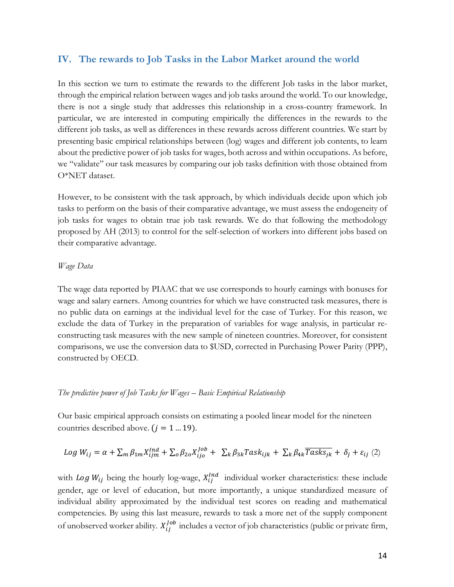# **IV. The rewards to Job Tasks in the Labor Market around the world**

In this section we turn to estimate the rewards to the different Job tasks in the labor market, through the empirical relation between wages and job tasks around the world. To our knowledge, there is not a single study that addresses this relationship in a cross-country framework. In particular, we are interested in computing empirically the differences in the rewards to the different job tasks, as well as differences in these rewards across different countries. We start by presenting basic empirical relationships between (log) wages and different job contents, to learn about the predictive power of job tasks for wages, both across and within occupations. As before, we "validate" our task measures by comparing our job tasks definition with those obtained from O\*NET dataset.

However, to be consistent with the task approach, by which individuals decide upon which job tasks to perform on the basis of their comparative advantage, we must assess the endogeneity of job tasks for wages to obtain true job task rewards. We do that following the methodology proposed by AH (2013) to control for the self-selection of workers into different jobs based on their comparative advantage.

#### *Wage Data*

The wage data reported by PIAAC that we use corresponds to hourly earnings with bonuses for wage and salary earners. Among countries for which we have constructed task measures, there is no public data on earnings at the individual level for the case of Turkey. For this reason, we exclude the data of Turkey in the preparation of variables for wage analysis, in particular reconstructing task measures with the new sample of nineteen countries. Moreover, for consistent comparisons, we use the conversion data to \$USD, corrected in Purchasing Power Parity (PPP), constructed by OECD.

#### *The predictive power of Job Tasks for Wages – Basic Empirical Relationship*

Our basic empirical approach consists on estimating a pooled linear model for the nineteen countries described above.  $(j = 1 ... 19)$ .

$$
Log W_{ij} = \alpha + \sum_{m} \beta_{1m} X_{ijm}^{Ind} + \sum_{o} \beta_{2o} X_{ijo}^{Job} + \sum_{k} \beta_{3k} Task_{ijk} + \sum_{k} \beta_{4k} \overline{Task_{jk}} + \delta_j + \varepsilon_{ij} (2)
$$

with Log  $W_{ij}$  being the hourly log-wage,  $X_{ij}^{Ind}$  individual worker characteristics: these include gender, age or level of education, but more importantly, a unique standardized measure of individual ability approximated by the individual test scores on reading and mathematical competencies. By using this last measure, rewards to task a more net of the supply component of unobserved worker ability.  $X_{ij}^{job}$  includes a vector of job characteristics (public or private firm,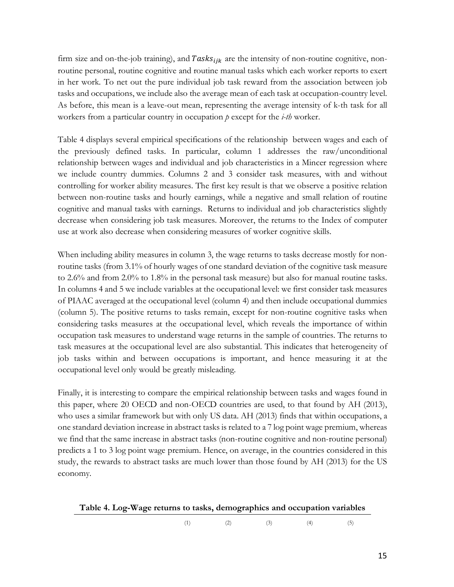firm size and on-the-job training), and  $Tasks_{ijk}$  are the intensity of non-routine cognitive, nonroutine personal, routine cognitive and routine manual tasks which each worker reports to exert in her work. To net out the pure individual job task reward from the association between job tasks and occupations, we include also the average mean of each task at occupation-country level. As before, this mean is a leave-out mean, representing the average intensity of k-th task for all workers from a particular country in occupation *p* except for the *i-th* worker.

Table 4 displays several empirical specifications of the relationship between wages and each of the previously defined tasks. In particular, column 1 addresses the raw/unconditional relationship between wages and individual and job characteristics in a Mincer regression where we include country dummies. Columns 2 and 3 consider task measures, with and without controlling for worker ability measures. The first key result is that we observe a positive relation between non-routine tasks and hourly earnings, while a negative and small relation of routine cognitive and manual tasks with earnings. Returns to individual and job characteristics slightly decrease when considering job task measures. Moreover, the returns to the Index of computer use at work also decrease when considering measures of worker cognitive skills.

When including ability measures in column 3, the wage returns to tasks decrease mostly for nonroutine tasks (from 3.1% of hourly wages of one standard deviation of the cognitive task measure to 2.6% and from 2.0% to 1.8% in the personal task measure) but also for manual routine tasks. In columns 4 and 5 we include variables at the occupational level: we first consider task measures of PIAAC averaged at the occupational level (column 4) and then include occupational dummies (column 5). The positive returns to tasks remain, except for non-routine cognitive tasks when considering tasks measures at the occupational level, which reveals the importance of within occupation task measures to understand wage returns in the sample of countries. The returns to task measures at the occupational level are also substantial. This indicates that heterogeneity of job tasks within and between occupations is important, and hence measuring it at the occupational level only would be greatly misleading.

Finally, it is interesting to compare the empirical relationship between tasks and wages found in this paper, where 20 OECD and non-OECD countries are used, to that found by AH (2013), who uses a similar framework but with only US data. AH (2013) finds that within occupations, a one standard deviation increase in abstract tasks is related to a 7 log point wage premium, whereas we find that the same increase in abstract tasks (non-routine cognitive and non-routine personal) predicts a 1 to 3 log point wage premium. Hence, on average, in the countries considered in this study, the rewards to abstract tasks are much lower than those found by AH (2013) for the US economy.

|  |  |  | Table 4. Log-Wage returns to tasks, demographics and occupation variables |  |  |  |
|--|--|--|---------------------------------------------------------------------------|--|--|--|
|  |  |  |                                                                           |  |  |  |

(1)  $(2)$   $(3)$   $(4)$   $(5)$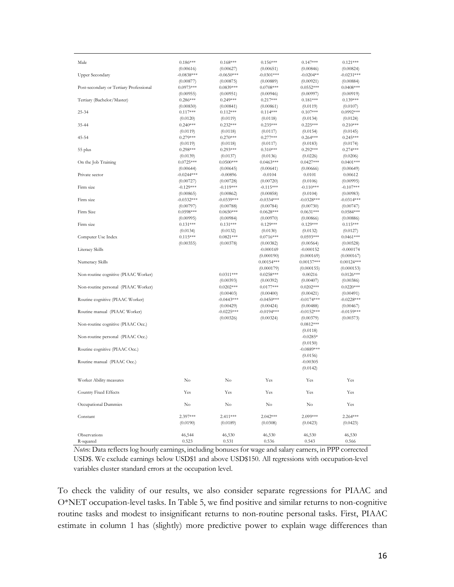| Male                                    | $0.186***$   | $0.168***$   | $0.156***$   | $0.147***$   | $0.121***$   |
|-----------------------------------------|--------------|--------------|--------------|--------------|--------------|
|                                         | (0.00616)    | (0.00627)    | (0.00651)    | (0.00846)    | (0.00824)    |
| <b>Upper Secondary</b>                  | $-0.0838***$ | $-0.0650***$ | $-0.0301***$ | $-0.0204**$  | $-0.0231***$ |
|                                         | (0.00877)    | (0.00875)    | (0.00889)    | (0.00921)    | (0.00884)    |
| Post-secondary or Tertiary Professional | $0.0973***$  | $0.0839***$  | $0.0708***$  | $0.0552***$  | $0.0408***$  |
|                                         | (0.00955)    | (0.00951)    | (0.00946)    | (0.00997)    | (0.00919)    |
| Tertiary (Bachelor/Master)              | $0.286***$   | $0.249***$   | $0.217***$   | $0.181***$   | $0.139***$   |
|                                         | (0.00830)    | (0.00841)    | (0.00861)    | (0.0119)     | (0.0107)     |
| 25-34                                   | $0.117***$   | $0.112***$   | $0.114***$   | $0.107***$   | $0.0992***$  |
|                                         | (0.0120)     | (0.0119)     | (0.0118)     | (0.0134)     | (0.0124)     |
| 35-44                                   | $0.240***$   | $0.232***$   | $0.235***$   | $0.225***$   | $0.210***$   |
|                                         | (0.0119)     | (0.0118)     | (0.0117)     | (0.0154)     | (0.0145)     |
| 45-54                                   | $0.279***$   | $0.270***$   | $0.277***$   | $0.264***$   | $0.245***$   |
|                                         | (0.0119)     | (0.0118)     | (0.0117)     | (0.0183)     | (0.0174)     |
| 55 plus                                 | $0.298***$   | $0.293***$   | $0.310***$   | $0.292***$   | $0.274***$   |
|                                         | (0.0139)     | (0.0137)     | (0.0136)     | (0.0226)     | (0.0206)     |
| On the Job Training                     | $0.0725***$  | $0.0500***$  | $0.0463***$  | $0.0427***$  | $0.0401***$  |
|                                         | (0.00644)    | (0.00645)    | (0.00641)    | (0.00666)    | (0.00649)    |
| Private sector                          | $-0.0244***$ | $-0.00896$   | $-0.0104$    | 0.0101       | 0.00612      |
|                                         | (0.00727)    | (0.00728)    | (0.00720)    | (0.0106)     | (0.00995)    |
| Firm size                               | $-0.129***$  | $-0.119***$  | $-0.115***$  | $-0.110***$  | $-0.107***$  |
|                                         | (0.00865)    | (0.00862)    | (0.00858)    | (0.0104)     | (0.00983)    |
| Firm size                               | $-0.0332***$ | $-0.0339***$ | $-0.0334***$ | $-0.0328***$ | $-0.0314***$ |
|                                         | (0.00797)    | (0.00788)    | (0.00784)    | (0.00730)    | (0.00747)    |
| Firm Size                               | $0.0598***$  | $0.0650***$  | $0.0628***$  | $0.0631***$  | $0.0584***$  |
|                                         | (0.00995)    | (0.00984)    | (0.00970)    | (0.00866)    | (0.00886)    |
| Firm size                               | $0.131***$   | $0.131***$   | $0.129***$   | $0.129***$   | $0.115***$   |
|                                         | (0.0134)     | (0.0132)     | (0.0130)     | (0.0132)     | (0.0127)     |
| Computer Use Index                      | $0.115***$   | $0.0821***$  | $0.0716***$  | $0.0593***$  | $0.0461***$  |
|                                         | (0.00355)    | (0.00378)    | (0.00382)    | (0.00564)    | (0.00528)    |
| Literacy Skills                         |              |              | $-0.000169$  | $-0.000152$  | $-0.000174$  |
|                                         |              |              | (0.000190)   | (0.000169)   | (0.000167)   |
| Numeracy Skills                         |              |              | $0.00154***$ | $0.00137***$ | $0.00124***$ |
|                                         |              |              | (0.000179)   | (0.000155)   | (0.000153)   |
| Non-routine cognitive (PIAAC Worker)    |              | $0.0311***$  | $0.0258***$  | 0.00216      | $0.0126***$  |
|                                         |              | (0.00393)    | (0.00392)    | (0.00407)    | (0.00386)    |
| Non-routine personal (PIAAC Worker)     |              | $0.0202***$  | $0.0177***$  | $0.0202***$  | $0.0220***$  |
|                                         |              | (0.00403)    | (0.00400)    | (0.00421)    | (0.00491)    |
| Routine cognitive (PIAAC Worker)        |              | $-0.0443***$ | $-0.0450***$ | $-0.0174***$ | $-0.0228***$ |
|                                         |              | (0.00429)    | (0.00424)    | (0.00488)    | (0.00467)    |
| Routine manual (PIAAC Worker)           |              | $-0.0225***$ | $-0.0194***$ | $-0.0152***$ | $-0.0159***$ |
|                                         |              | (0.00326)    | (0.00324)    | (0.00379)    | (0.00373)    |
| Non-routine cognitive (PIAAC Occ.)      |              |              |              | $0.0812***$  |              |
|                                         |              |              |              | (0.0118)     |              |
| Non-routine personal (PIAAC Occ.)       |              |              |              | $-0.0285*$   |              |
|                                         |              |              |              | (0.0150)     |              |
| Routine cognitive (PIAAC Occ.)          |              |              |              | $-0.0889***$ |              |
|                                         |              |              |              | (0.0156)     |              |
| Routine manual (PIAAC Occ.)             |              |              |              | $-0.00305$   |              |
|                                         |              |              |              | (0.0142)     |              |
|                                         |              |              |              |              |              |
| Worker Ability measures                 | No           | No           | Yes          | Yes          | Yes          |
| Country Fixed Effects                   | Yes          | Yes          | Yes          | Yes          | Yes          |
|                                         |              |              |              |              |              |
| Occupational Dummies                    | No           | No           | No           | No           | Yes          |
|                                         |              |              |              |              |              |
| Constant                                | 2.397***     | $2.411***$   | $2.042***$   | $2.099***$   | $2.264***$   |
|                                         | (0.0190)     | (0.0189)     | (0.0308)     | (0.0423)     | (0.0423)     |
|                                         |              |              |              |              |              |
| Observations                            | 46,544       | 46,530       | 46,530       | 46,530       | 46,530       |
| R-squared                               | 0.523        | 0.531        | 0.536        | 0.543        | 0.566        |

*Note*s: Data reflects log hourly earnings, including bonuses for wage and salary earners, in PPP corrected USD\$. We exclude earnings below USD\$1 and above USD\$150. All regressions with occupation-level variables cluster standard errors at the occupation level.

To check the validity of our results, we also consider separate regressions for PIAAC and O\*NET occupation-level tasks. In Table 5, we find positive and similar returns to non-cognitive routine tasks and modest to insignificant returns to non-routine personal tasks. First, PIAAC estimate in column 1 has (slightly) more predictive power to explain wage differences than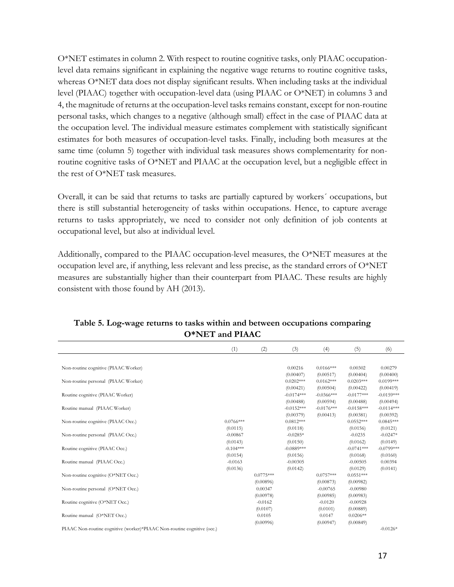O\*NET estimates in column 2. With respect to routine cognitive tasks, only PIAAC occupationlevel data remains significant in explaining the negative wage returns to routine cognitive tasks, whereas O\*NET data does not display significant results. When including tasks at the individual level (PIAAC) together with occupation-level data (using PIAAC or O\*NET) in columns 3 and 4, the magnitude of returns at the occupation-level tasks remains constant, except for non-routine personal tasks, which changes to a negative (although small) effect in the case of PIAAC data at the occupation level. The individual measure estimates complement with statistically significant estimates for both measures of occupation-level tasks. Finally, including both measures at the same time (column 5) together with individual task measures shows complementarity for nonroutine cognitive tasks of O\*NET and PIAAC at the occupation level, but a negligible effect in the rest of O\*NET task measures.

Overall, it can be said that returns to tasks are partially captured by workers´ occupations, but there is still substantial heterogeneity of tasks within occupations. Hence, to capture average returns to tasks appropriately, we need to consider not only definition of job contents at occupational level, but also at individual level.

Additionally, compared to the PIAAC occupation-level measures, the O\*NET measures at the occupation level are, if anything, less relevant and less precise, as the standard errors of O\*NET measures are substantially higher than their counterpart from PIAAC. These results are highly consistent with those found by AH (2013).

|                                                                                                | (1)         | (2)         | (3)          | (4)          | (5)          | (6)          |
|------------------------------------------------------------------------------------------------|-------------|-------------|--------------|--------------|--------------|--------------|
|                                                                                                |             |             |              |              |              |              |
| Non-routine cognitive (PIAAC Worker)                                                           |             |             | 0.00216      | $0.0166***$  | 0.00302      | 0.00279      |
|                                                                                                |             |             | (0.00407)    | (0.00517)    | (0.00404)    | (0.00400)    |
| Non-routine personal (PIAAC Worker)                                                            |             |             | $0.0202***$  | $0.0162***$  | $0.0203***$  | $0.0199***$  |
|                                                                                                |             |             | (0.00421)    | (0.00504)    | (0.00422)    | (0.00419)    |
| Routine cognitive (PIAAC Worker)                                                               |             |             | $-0.0174***$ | $-0.0366***$ | $-0.0177***$ | $-0.0159***$ |
|                                                                                                |             |             | (0.00488)    | (0.00594)    | (0.00488)    | (0.00494)    |
| Routine manual (PIAAC Worker)                                                                  |             |             | $-0.0152***$ | $-0.0176***$ | $-0.0158***$ | $-0.0114***$ |
|                                                                                                |             |             | (0.00379)    | (0.00413)    | (0.00381)    | (0.00392)    |
| Non-routine cognitive (PIAAC Occ.)                                                             | $0.0766***$ |             | $0.0812***$  |              | $0.0552***$  | $0.0845***$  |
|                                                                                                | (0.0115)    |             | (0.0118)     |              | (0.0156)     | (0.0121)     |
| Non-routine personal (PIAAC Occ.)                                                              | $-0.00867$  |             | $-0.0285*$   |              | $-0.0235$    | $-0.0247*$   |
|                                                                                                | (0.0143)    |             | (0.0150)     |              | (0.0162)     | (0.0149)     |
| Routine cognitive (PIAAC Occ.)                                                                 | $-0.104***$ |             | $-0.0889***$ |              | $-0.0741***$ | $-0.0799***$ |
|                                                                                                | (0.0154)    |             | (0.0156)     |              | (0.0168)     | (0.0160)     |
| Routine manual (PIAAC Occ.)                                                                    | $-0.0163$   |             | $-0.00305$   |              | $-0.00505$   | 0.00394      |
|                                                                                                | (0.0136)    |             | (0.0142)     |              | (0.0129)     | (0.0141)     |
| Non-routine cognitive (O*NET Occ.)                                                             |             | $0.0775***$ |              | $0.0757***$  | $0.0551***$  |              |
|                                                                                                |             | (0.00896)   |              | (0.00873)    | (0.00982)    |              |
| Non-routine personal (O*NET Occ.)                                                              |             | 0.00347     |              | $-0.00765$   | $-0.00980$   |              |
|                                                                                                |             | (0.00978)   |              | (0.00985)    | (0.00983)    |              |
| Routine cognitive (O*NET Occ.)                                                                 |             | $-0.0162$   |              | $-0.0120$    | $-0.00928$   |              |
|                                                                                                |             | (0.0107)    |              | (0.0101)     | (0.00889)    |              |
| Routine manual (O*NET Occ.)                                                                    |             | 0.0105      |              | 0.0147       | $0.0206**$   |              |
|                                                                                                |             | (0.00996)   |              | (0.00947)    | (0.00849)    |              |
| $DI^{\Delta}AC$ Non continuo cognitivo (worker)* $DI^{\Delta}AC$ Non continuo cognitivo (occ.) |             |             |              |              |              | $0.0126*$    |

## **Table 5. Log-wage returns to tasks within and between occupations comparing O\*NET and PIAAC**

PIAAC Non-routine cognitive (worker)\*PIAAC Non-routine cognitive (occ.)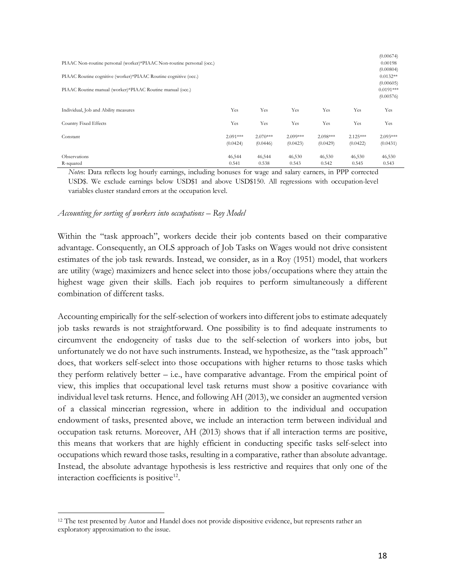| PIAAC Non-routine personal (worker)*PIAAC Non-routine personal (occ.)<br>PIAAC Routine cognitive (worker)*PIAAC Routine cognitive (occ.)<br>PIAAC Routine manual (worker)*PIAAC Routine manual (occ.) |                        |                        |                        |                        |                        | (0.00674)<br>0.00198<br>(0.00804)<br>$0.0132**$<br>(0.00605)<br>$0.0191***$<br>(0.00576) |
|-------------------------------------------------------------------------------------------------------------------------------------------------------------------------------------------------------|------------------------|------------------------|------------------------|------------------------|------------------------|------------------------------------------------------------------------------------------|
| Individual, Job and Ability measures                                                                                                                                                                  | Yes                    | Yes                    | Yes                    | Yes                    | Yes                    | Yes                                                                                      |
| Country Fixed Effects                                                                                                                                                                                 | Yes                    | Yes                    | Yes                    | Yes                    | Yes                    | Yes                                                                                      |
| Constant                                                                                                                                                                                              | $2.091***$<br>(0.0424) | $2.070***$<br>(0.0446) | $2.099***$<br>(0.0423) | $2.098***$<br>(0.0429) | $2.125***$<br>(0.0422) | $2.093***$<br>(0.0431)                                                                   |
| Observations<br>R-squared                                                                                                                                                                             | 46,544<br>0.541        | 46,544<br>0.538        | 46,530<br>0.543        | 46,530<br>0.542        | 46,530<br>0.545        | 46,530<br>0.543                                                                          |

*Note*s: Data reflects log hourly earnings, including bonuses for wage and salary earners, in PPP corrected USD\$. We exclude earnings below USD\$1 and above USD\$150. All regressions with occupation-level variables cluster standard errors at the occupation level.

#### *Accounting for sorting of workers into occupations – Roy Model*

 $\overline{a}$ 

Within the "task approach", workers decide their job contents based on their comparative advantage. Consequently, an OLS approach of Job Tasks on Wages would not drive consistent estimates of the job task rewards. Instead, we consider, as in a Roy (1951) model, that workers are utility (wage) maximizers and hence select into those jobs/occupations where they attain the highest wage given their skills. Each job requires to perform simultaneously a different combination of different tasks.

Accounting empirically for the self-selection of workers into different jobs to estimate adequately job tasks rewards is not straightforward. One possibility is to find adequate instruments to circumvent the endogeneity of tasks due to the self-selection of workers into jobs, but unfortunately we do not have such instruments. Instead, we hypothesize, as the "task approach" does, that workers self-select into those occupations with higher returns to those tasks which they perform relatively better  $-$  i.e., have comparative advantage. From the empirical point of view, this implies that occupational level task returns must show a positive covariance with individual level task returns. Hence, and following AH (2013), we consider an augmented version of a classical mincerian regression, where in addition to the individual and occupation endowment of tasks, presented above, we include an interaction term between individual and occupation task returns. Moreover, AH (2013) shows that if all interaction terms are positive, this means that workers that are highly efficient in conducting specific tasks self-select into occupations which reward those tasks, resulting in a comparative, rather than absolute advantage. Instead, the absolute advantage hypothesis is less restrictive and requires that only one of the interaction coefficients is positive $12$ .

<sup>&</sup>lt;sup>12</sup> The test presented by Autor and Handel does not provide dispositive evidence, but represents rather an exploratory approximation to the issue.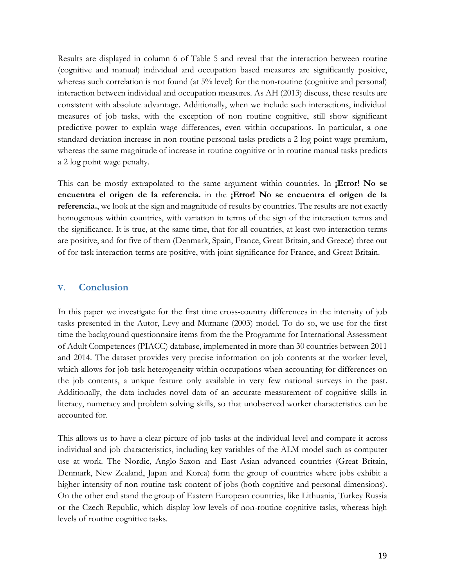Results are displayed in column 6 of Table 5 and reveal that the interaction between routine (cognitive and manual) individual and occupation based measures are significantly positive, whereas such correlation is not found (at 5% level) for the non-routine (cognitive and personal) interaction between individual and occupation measures. As AH (2013) discuss, these results are consistent with absolute advantage. Additionally, when we include such interactions, individual measures of job tasks, with the exception of non routine cognitive, still show significant predictive power to explain wage differences, even within occupations. In particular, a one standard deviation increase in non-routine personal tasks predicts a 2 log point wage premium, whereas the same magnitude of increase in routine cognitive or in routine manual tasks predicts a 2 log point wage penalty.

This can be mostly extrapolated to the same argument within countries. In **¡Error! No se encuentra el origen de la referencia.** in the **¡Error! No se encuentra el origen de la referencia.**, we look at the sign and magnitude of results by countries. The results are not exactly homogenous within countries, with variation in terms of the sign of the interaction terms and the significance. It is true, at the same time, that for all countries, at least two interaction terms are positive, and for five of them (Denmark, Spain, France, Great Britain, and Greece) three out of for task interaction terms are positive, with joint significance for France, and Great Britain.

## **V. Conclusion**

In this paper we investigate for the first time cross-country differences in the intensity of job tasks presented in the Autor, Levy and Murnane (2003) model. To do so, we use for the first time the background questionnaire items from the the Programme for International Assessment of Adult Competences (PIACC) database, implemented in more than 30 countries between 2011 and 2014. The dataset provides very precise information on job contents at the worker level, which allows for job task heterogeneity within occupations when accounting for differences on the job contents, a unique feature only available in very few national surveys in the past. Additionally, the data includes novel data of an accurate measurement of cognitive skills in literacy, numeracy and problem solving skills, so that unobserved worker characteristics can be accounted for.

This allows us to have a clear picture of job tasks at the individual level and compare it across individual and job characteristics, including key variables of the ALM model such as computer use at work. The Nordic, Anglo-Saxon and East Asian advanced countries (Great Britain, Denmark, New Zealand, Japan and Korea) form the group of countries where jobs exhibit a higher intensity of non-routine task content of jobs (both cognitive and personal dimensions). On the other end stand the group of Eastern European countries, like Lithuania, Turkey Russia or the Czech Republic, which display low levels of non-routine cognitive tasks, whereas high levels of routine cognitive tasks.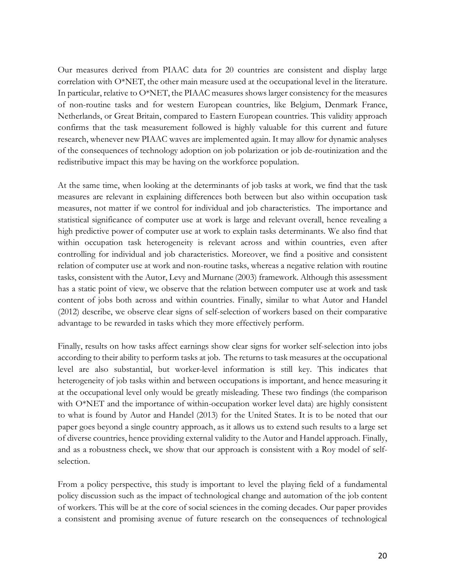Our measures derived from PIAAC data for 20 countries are consistent and display large correlation with O\*NET, the other main measure used at the occupational level in the literature. In particular, relative to O\*NET, the PIAAC measures shows larger consistency for the measures of non-routine tasks and for western European countries, like Belgium, Denmark France, Netherlands, or Great Britain, compared to Eastern European countries. This validity approach confirms that the task measurement followed is highly valuable for this current and future research, whenever new PIAAC waves are implemented again. It may allow for dynamic analyses of the consequences of technology adoption on job polarization or job de-routinization and the redistributive impact this may be having on the workforce population.

At the same time, when looking at the determinants of job tasks at work, we find that the task measures are relevant in explaining differences both between but also within occupation task measures, not matter if we control for individual and job characteristics. The importance and statistical significance of computer use at work is large and relevant overall, hence revealing a high predictive power of computer use at work to explain tasks determinants. We also find that within occupation task heterogeneity is relevant across and within countries, even after controlling for individual and job characteristics. Moreover, we find a positive and consistent relation of computer use at work and non-routine tasks, whereas a negative relation with routine tasks, consistent with the Autor, Levy and Murnane (2003) framework. Although this assessment has a static point of view, we observe that the relation between computer use at work and task content of jobs both across and within countries. Finally, similar to what Autor and Handel (2012) describe, we observe clear signs of self-selection of workers based on their comparative advantage to be rewarded in tasks which they more effectively perform.

Finally, results on how tasks affect earnings show clear signs for worker self-selection into jobs according to their ability to perform tasks at job. The returns to task measures at the occupational level are also substantial, but worker-level information is still key. This indicates that heterogeneity of job tasks within and between occupations is important, and hence measuring it at the occupational level only would be greatly misleading. These two findings (the comparison with O\*NET and the importance of within-occupation worker level data) are highly consistent to what is found by Autor and Handel (2013) for the United States. It is to be noted that our paper goes beyond a single country approach, as it allows us to extend such results to a large set of diverse countries, hence providing external validity to the Autor and Handel approach. Finally, and as a robustness check, we show that our approach is consistent with a Roy model of selfselection.

From a policy perspective, this study is important to level the playing field of a fundamental policy discussion such as the impact of technological change and automation of the job content of workers. This will be at the core of social sciences in the coming decades. Our paper provides a consistent and promising avenue of future research on the consequences of technological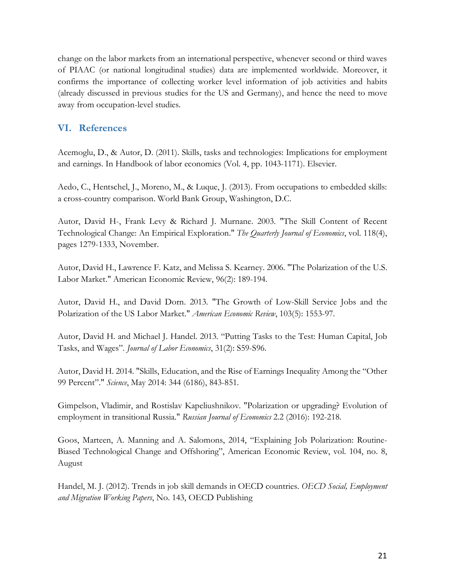change on the labor markets from an international perspective, whenever second or third waves of PIAAC (or national longitudinal studies) data are implemented worldwide. Moreover, it confirms the importance of collecting worker level information of job activities and habits (already discussed in previous studies for the US and Germany), and hence the need to move away from occupation-level studies.

# **VI. References**

Acemoglu, D., & Autor, D. (2011). Skills, tasks and technologies: Implications for employment and earnings. In Handbook of labor economics (Vol. 4, pp. 1043-1171). Elsevier.

Aedo, C., Hentschel, J., Moreno, M., & Luque, J. (2013). From occupations to embedded skills: a cross-country comparison. World Bank Group, Washington, D.C.

Autor, David H-, Frank Levy & Richard J. Murnane. 2003. "The Skill Content of Recent Technological Change: An Empirical Exploration." *The Quarterly Journal of Economics*, vol. 118(4), pages 1279-1333, November.

Autor, David H., Lawrence F. Katz, and Melissa S. Kearney. 2006. "The Polarization of the U.S. Labor Market." American Economic Review, 96(2): 189-194.

Autor, David H., and David Dorn. 2013. "The Growth of Low-Skill Service Jobs and the Polarization of the US Labor Market." *American Economic Review*, 103(5): 1553-97.

Autor, David H. and Michael J. Handel. 2013. "Putting Tasks to the Test: Human Capital, Job Tasks, and Wages". *Journal of Labor Economics*, 31(2): S59-S96.

Autor, David H. 2014. "Skills, Education, and the Rise of Earnings Inequality Among the "Other 99 Percent"." *Science*, May 2014: 344 (6186), 843-851.

Gimpelson, Vladimir, and Rostislav Kapeliushnikov. "Polarization or upgrading? Evolution of employment in transitional Russia." *Russian Journal of Economics* 2.2 (2016): 192-218.

Goos, Marteen, A. Manning and A. Salomons, 2014, "Explaining Job Polarization: Routine-Biased Technological Change and Offshoring", American Economic Review, vol. 104, no. 8, August

Handel, M. J. (2012). Trends in job skill demands in OECD countries. *OECD Social, Employment and Migration Working Papers*, No. 143, OECD Publishing